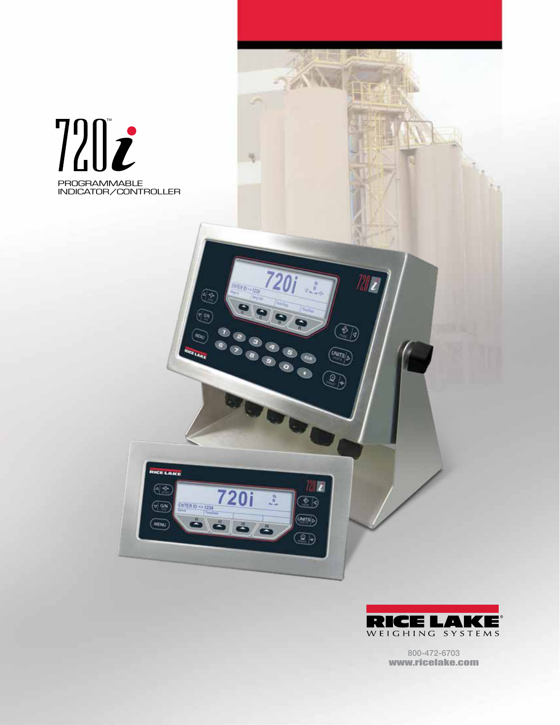



O)

 $\overline{\left(\frac{U_{\text{NITS}}}{D}\right)}$ 

Q)

 $\circledcirc$ 

 $\overline{\text{UNTS}}$ 

 $\circledR$ 

 $\frac{35}{N}$ 

**EDITOR** 

**ATER DISTEN** 

720i

 $\mathbf{r}$ 

**CE LAKE**  $4 - 2$ 

 $\sqrt{2}$ 

(MENU

**ENTER ID -> 1234** 

ó

800-472-6703 www.ricelake.com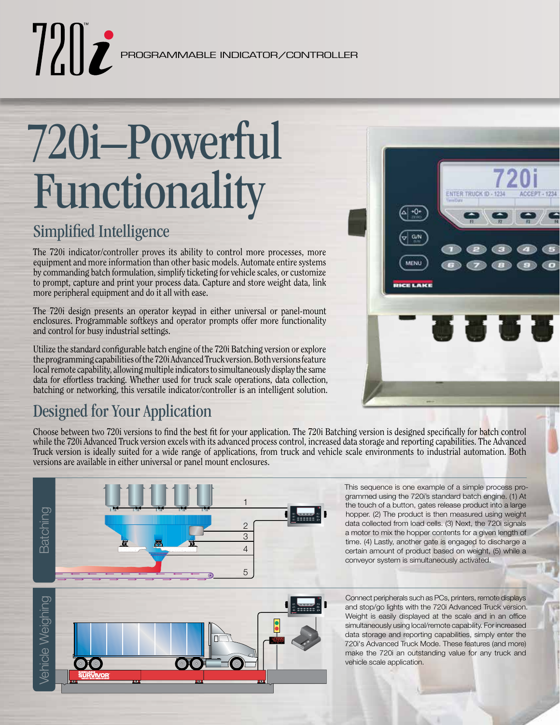# $\|T\|$

PROGRAMMABLE INDICATOR/CONTROLLER

## 720i–Powerful Functionality

## Simplified Intelligence

The 720i indicator/controller proves its ability to control more processes, more equipment and more information than other basic models. Automate entire systems by commanding batch formulation, simplify ticketing for vehicle scales, or customize to prompt, capture and print your process data. Capture and store weight data, link more peripheral equipment and do it all with ease.

The 720i design presents an operator keypad in either universal or panel-mount enclosures. Programmable softkeys and operator prompts offer more functionality and control for busy industrial settings.

Utilize the standard configurable batch engine of the 720i Batching version or explore the programming capabilities of the 720i Advanced Truck version. Both versions feature local remote capability, allowing multiple indicators to simultaneously display the same data for effortless tracking. Whether used for truck scale operations, data collection, batching or networking, this versatile indicator/controller is an intelligent solution.

## Designed for Your Application

Choose between two 720i versions to find the best fit for your application. The 720i Batching version is designed specifically for batch control while the 720i Advanced Truck version excels with its advanced process control, increased data storage and reporting capabilities. The Advanced Truck version is ideally suited for a wide range of applications, from truck and vehicle scale environments to industrial automation. Both versions are available in either universal or panel mount enclosures.



This sequence is one example of a simple process programmed using the 720i's standard batch engine. (1) At the touch of a button, gates release product into a large hopper. (2) The product is then measured using weight data collected from load cells. (3) Next, the 720i signals a motor to mix the hopper contents for a given length of time. (4) Lastly, another gate is engaged to discharge a certain amount of product based on weight, (5) while a conveyor system is simultaneously activated.

**ENTER TRUCK ID - 1234** 

高登堂

 $+0+$ 

 $GN$ 

**MENU** 

**CELAKE** 

ACCEPT - 123

Vehicle Weighing /ehicle Weighing

Connect peripherals such as PCs, printers, remote displays and stop/go lights with the 720i Advanced Truck version. Weight is easily displayed at the scale and in an office simultaneously using local/remote capability. For increased data storage and reporting capabilities, simply enter the 720i's Advanced Truck Mode. These features (and more) make the 720i an outstanding value for any truck and vehicle scale application.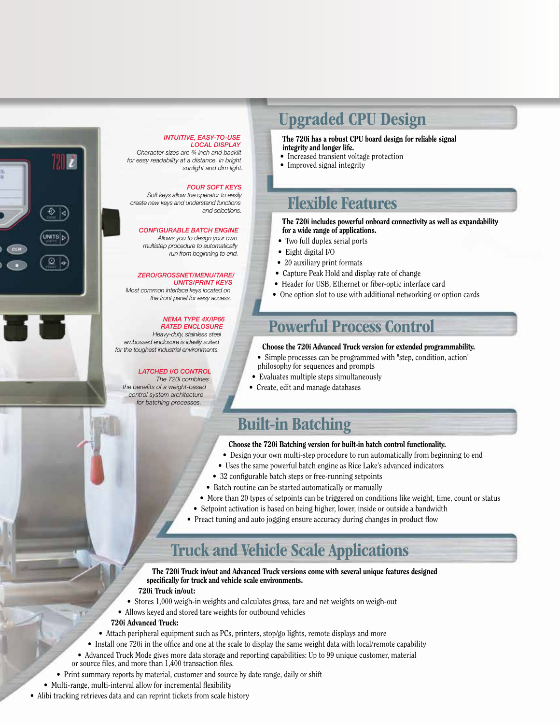

#### *INTUITIVE, EASY-TO-USE LOCAL DISPLAY*

*Character sizes are ¾ inch and backlit for easy readability at a distance, in bright sunlight and dim light.*

#### *FOUR SOFT KEYS*

*Soft keys allow the operator to easily create new keys and understand functions and selections.*

#### *CONFIGURABLE BATCH ENGINE*

*Allows you to design your own multistep procedure to automatically run from beginning to end.*

#### *ZERO/GROSSNET/MENU/TARE/*

*UNITS/PRINT KEYS Most common interface keys located on the front panel for easy access.*

#### *NEMA TYPE 4X/IP66 RATED ENCLOSURE*

*Heavy-duty, stainless steel embossed enclosure is ideally suited for the toughest industrial environments.*

#### *LATCHED I/O CONTROL*

*The 720i combines the benefits of a weight-based control system architecture for batching processes.*

## Upgraded CPU Design

The 720i has a robust CPU board design for reliable signal integrity and longer life.

- Increased transient voltage protection
- Improved signal integrity

## Flexible Features

The 720i includes powerful onboard connectivity as well as expandability for a wide range of applications.

- Two full duplex serial ports
- Eight digital I/O
- 20 auxiliary print formats
- Capture Peak Hold and display rate of change
- Header for USB, Ethernet or fiber-optic interface card
- One option slot to use with additional networking or option cards

### Powerful Process Control

- Choose the 720i Advanced Truck version for extended programmability.
- Simple processes can be programmed with "step, condition, action" philosophy for sequences and prompts
- Evaluates multiple steps simultaneously
- Create, edit and manage databases

## Built-in Batching

#### Choose the 720i Batching version for built-in batch control functionality.

- Design your own multi-step procedure to run automatically from beginning to end
- Uses the same powerful batch engine as Rice Lake's advanced indicators
- 32 configurable batch steps or free-running setpoints
- Batch routine can be started automatically or manually
- More than 20 types of setpoints can be triggered on conditions like weight, time, count or status
- Setpoint activation is based on being higher, lower, inside or outside a bandwidth
- Preact tuning and auto jogging ensure accuracy during changes in product flow

## Truck and Vehicle Scale Applications

The 720i Truck in/out and Advanced Truck versions come with several unique features designed specifically for truck and vehicle scale environments.

- 720i Truck in/out:
- Stores 1,000 weigh-in weights and calculates gross, tare and net weights on weigh-out
- Allows keyed and stored tare weights for outbound vehicles

#### 720i Advanced Truck:

- Attach peripheral equipment such as PCs, printers, stop/go lights, remote displays and more
- Install one 720i in the office and one at the scale to display the same weight data with local/remote capability
- Advanced Truck Mode gives more data storage and reporting capabilities: Up to 99 unique customer, material or source files, and more than 1,400 transaction files.
- Print summary reports by material, customer and source by date range, daily or shift
- Multi-range, multi-interval allow for incremental flexibility
- Alibi tracking retrieves data and can reprint tickets from scale history